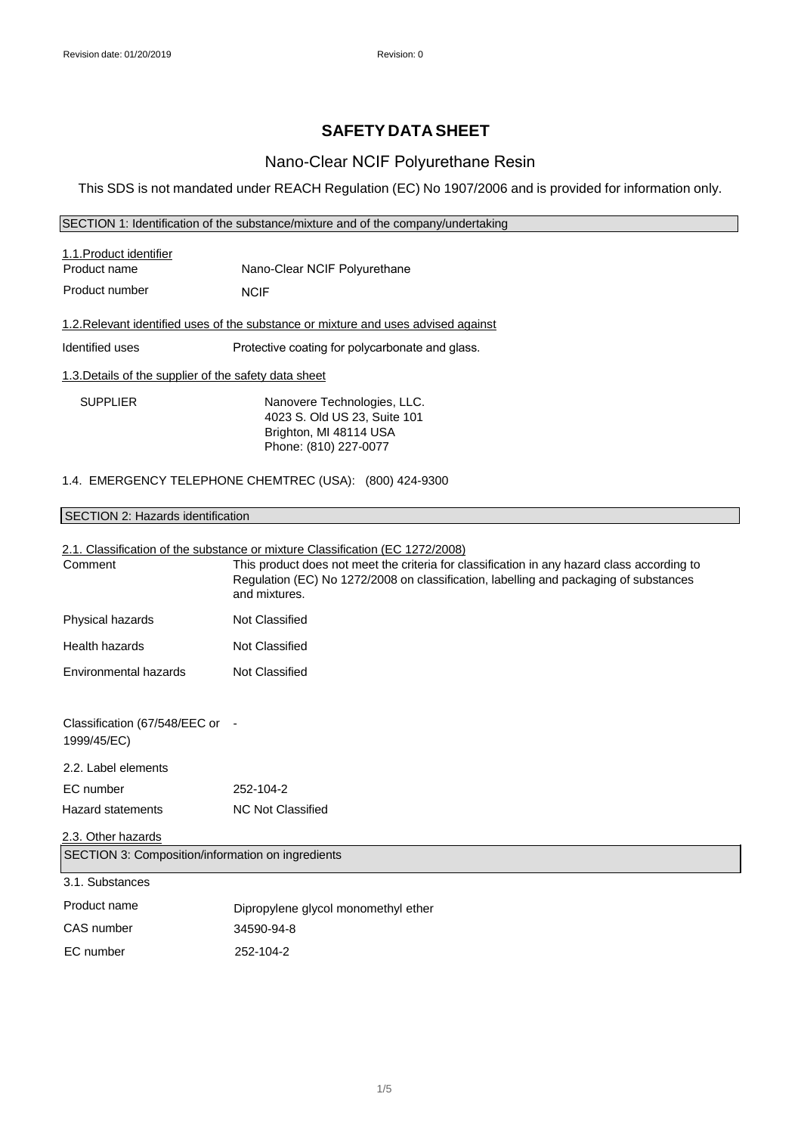# **SAFETY DATA SHEET**

## Nano-Clear NCIF Polyurethane Resin

This SDS is not mandated under REACH Regulation (EC) No 1907/2006 and is provided for information only.

#### SECTION 1: Identification of the substance/mixture and of the company/undertaking

| 1.1. Product identifier<br>Product name                                            | Nano-Clear NCIF Polyurethane                                                          |  |
|------------------------------------------------------------------------------------|---------------------------------------------------------------------------------------|--|
| Product number                                                                     | <b>NCIF</b>                                                                           |  |
| 1.2. Relevant identified uses of the substance or mixture and uses advised against |                                                                                       |  |
| Identified uses                                                                    | Protective coating for polycarbonate and glass.                                       |  |
| 1.3. Details of the supplier of the safety data sheet                              |                                                                                       |  |
| <b>SUPPLIER</b>                                                                    | Nanovere Technologies, LLC.<br>4023 S. Old US 23, Suite 101<br>Brighton, MI 48114 USA |  |

Phone: (810) 227-0077

### 1.4. EMERGENCY TELEPHONE CHEMTREC (USA): (800) 424-9300

### SECTION 2: Hazards identification

# 2.1. Classification of the substance or mixture Classification (EC 1272/2008) Hazard statements NC Not Classified 2.3. Other hazards SECTION 3: Composition/information on ingredients 3.1. Substances Product name CAS number Dipropylene glycol monomethyl ether 34590-94-8 EC number 252-104-2 Comment This product does not meet the criteria for classification in any hazard class according to Regulation (EC) No 1272/2008 on classification, labelling and packaging of substances and mixtures. Physical hazards Not Classified Health hazards Not Classified Environmental hazards Not Classified Classification (67/548/EEC or - 1999/45/EC) 2.2. Label elements EC number 252-104-2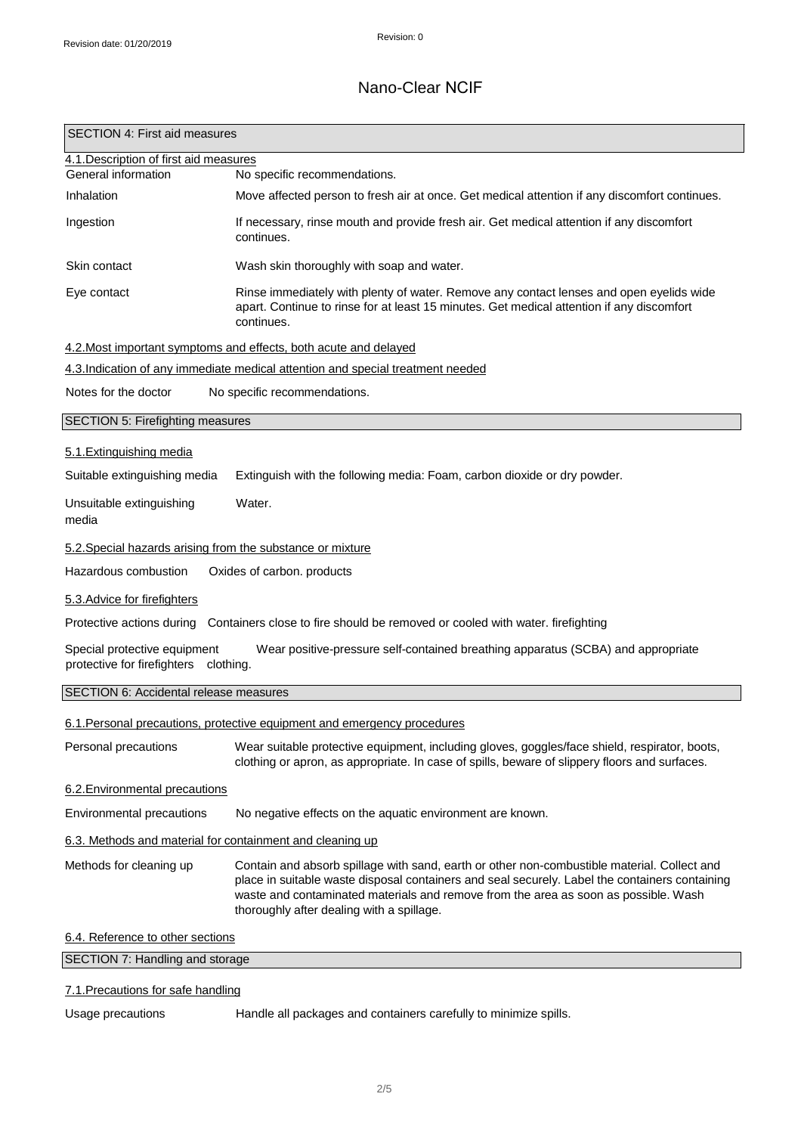| SECTION 4: First aid measures                                                                                                                             |                                                                                                                                                                                                                                                                                                                                   |  |
|-----------------------------------------------------------------------------------------------------------------------------------------------------------|-----------------------------------------------------------------------------------------------------------------------------------------------------------------------------------------------------------------------------------------------------------------------------------------------------------------------------------|--|
| 4.1. Description of first aid measures<br>General information                                                                                             | No specific recommendations.                                                                                                                                                                                                                                                                                                      |  |
| Inhalation                                                                                                                                                | Move affected person to fresh air at once. Get medical attention if any discomfort continues.                                                                                                                                                                                                                                     |  |
| Ingestion                                                                                                                                                 | If necessary, rinse mouth and provide fresh air. Get medical attention if any discomfort<br>continues.                                                                                                                                                                                                                            |  |
| Skin contact                                                                                                                                              | Wash skin thoroughly with soap and water.                                                                                                                                                                                                                                                                                         |  |
| Eye contact                                                                                                                                               | Rinse immediately with plenty of water. Remove any contact lenses and open eyelids wide<br>apart. Continue to rinse for at least 15 minutes. Get medical attention if any discomfort<br>continues.                                                                                                                                |  |
|                                                                                                                                                           | 4.2. Most important symptoms and effects, both acute and delayed                                                                                                                                                                                                                                                                  |  |
|                                                                                                                                                           | 4.3. Indication of any immediate medical attention and special treatment needed                                                                                                                                                                                                                                                   |  |
| Notes for the doctor                                                                                                                                      | No specific recommendations.                                                                                                                                                                                                                                                                                                      |  |
| SECTION 5: Firefighting measures                                                                                                                          |                                                                                                                                                                                                                                                                                                                                   |  |
| 5.1. Extinguishing media                                                                                                                                  |                                                                                                                                                                                                                                                                                                                                   |  |
| Suitable extinguishing media                                                                                                                              | Extinguish with the following media: Foam, carbon dioxide or dry powder.                                                                                                                                                                                                                                                          |  |
| Unsuitable extinguishing<br>media                                                                                                                         | Water.                                                                                                                                                                                                                                                                                                                            |  |
| 5.2. Special hazards arising from the substance or mixture                                                                                                |                                                                                                                                                                                                                                                                                                                                   |  |
| Hazardous combustion                                                                                                                                      | Oxides of carbon. products                                                                                                                                                                                                                                                                                                        |  |
| 5.3. Advice for firefighters                                                                                                                              |                                                                                                                                                                                                                                                                                                                                   |  |
|                                                                                                                                                           | Protective actions during Containers close to fire should be removed or cooled with water. firefighting                                                                                                                                                                                                                           |  |
| Special protective equipment<br>Wear positive-pressure self-contained breathing apparatus (SCBA) and appropriate<br>protective for firefighters clothing. |                                                                                                                                                                                                                                                                                                                                   |  |
| SECTION 6: Accidental release measures                                                                                                                    |                                                                                                                                                                                                                                                                                                                                   |  |
|                                                                                                                                                           | 6.1. Personal precautions, protective equipment and emergency procedures                                                                                                                                                                                                                                                          |  |
| Personal precautions                                                                                                                                      | Wear suitable protective equipment, including gloves, goggles/face shield, respirator, boots,<br>clothing or apron, as appropriate. In case of spills, beware of slippery floors and surfaces.                                                                                                                                    |  |
| 6.2. Environmental precautions                                                                                                                            |                                                                                                                                                                                                                                                                                                                                   |  |
| Environmental precautions                                                                                                                                 | No negative effects on the aquatic environment are known.                                                                                                                                                                                                                                                                         |  |
| 6.3. Methods and material for containment and cleaning up                                                                                                 |                                                                                                                                                                                                                                                                                                                                   |  |
| Methods for cleaning up                                                                                                                                   | Contain and absorb spillage with sand, earth or other non-combustible material. Collect and<br>place in suitable waste disposal containers and seal securely. Label the containers containing<br>waste and contaminated materials and remove from the area as soon as possible. Wash<br>thoroughly after dealing with a spillage. |  |
| 6.4. Reference to other sections                                                                                                                          |                                                                                                                                                                                                                                                                                                                                   |  |
| SECTION 7: Handling and storage                                                                                                                           |                                                                                                                                                                                                                                                                                                                                   |  |

### 7.1.Precautions for safe handling

Usage precautions **Handle all packages and containers carefully to minimize spills.**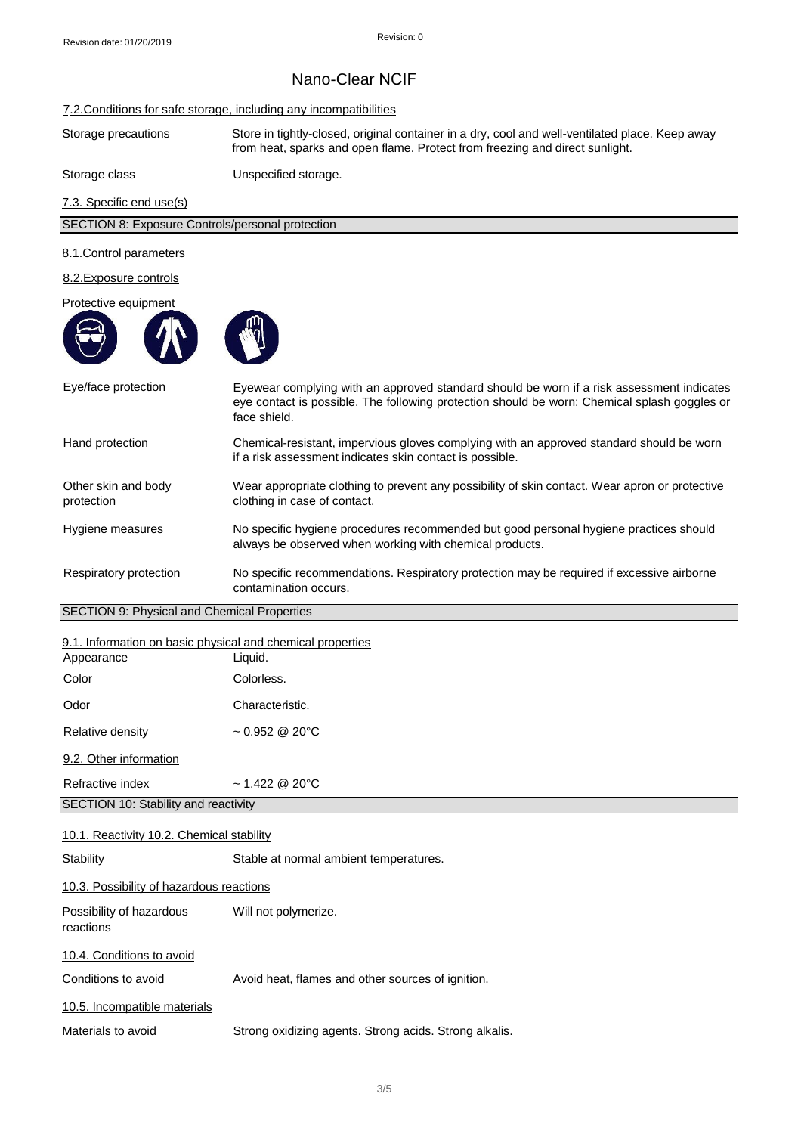#### 7.2.Conditions for safe storage, including any incompatibilities

Storage precautions Store in tightly-closed, original container in a dry, cool and well-ventilated place. Keep away from heat, sparks and open flame. Protect from freezing and direct sunlight.

### Storage class Unspecified storage.

7.3. Specific end use(s)

#### 8.1.Control parameters

#### 8.2.Exposure controls

#### Protective equipment





| Eye/face protection                                        | Eyewear complying with an approved standard should be worn if a risk assessment indicates<br>eye contact is possible. The following protection should be worn: Chemical splash goggles or<br>face shield. |  |
|------------------------------------------------------------|-----------------------------------------------------------------------------------------------------------------------------------------------------------------------------------------------------------|--|
| Hand protection                                            | Chemical-resistant, impervious gloves complying with an approved standard should be worn<br>if a risk assessment indicates skin contact is possible.                                                      |  |
| Other skin and body<br>protection                          | Wear appropriate clothing to prevent any possibility of skin contact. Wear apron or protective<br>clothing in case of contact.                                                                            |  |
| Hygiene measures                                           | No specific hygiene procedures recommended but good personal hygiene practices should<br>always be observed when working with chemical products.                                                          |  |
| Respiratory protection                                     | No specific recommendations. Respiratory protection may be required if excessive airborne<br>contamination occurs.                                                                                        |  |
| SECTION 9: Physical and Chemical Properties                |                                                                                                                                                                                                           |  |
| 9.1. Information on basic physical and chemical properties |                                                                                                                                                                                                           |  |
| Appearance                                                 | Liquid.                                                                                                                                                                                                   |  |
| Color                                                      | Colorless.                                                                                                                                                                                                |  |
| Odor                                                       | Characteristic.                                                                                                                                                                                           |  |

9.2. Other information

Relative density

Refractive index ~ 1.422 @ 20°C

SECTION 10: Stability and reactivity

#### 10.1. Reactivity 10.2. Chemical stability

Stability Stable at normal ambient temperatures. 10.3. Possibility of hazardous reactions Possibility of hazardous Will not polymerize. reactions 10.4. Conditions to avoid Conditions to avoid **Avoid heat, flames and other sources of ignition.** 

 $~1$  - 0.952 @ 20°C

10.5. Incompatible materials

Materials to avoid Strong oxidizing agents. Strong acids. Strong alkalis.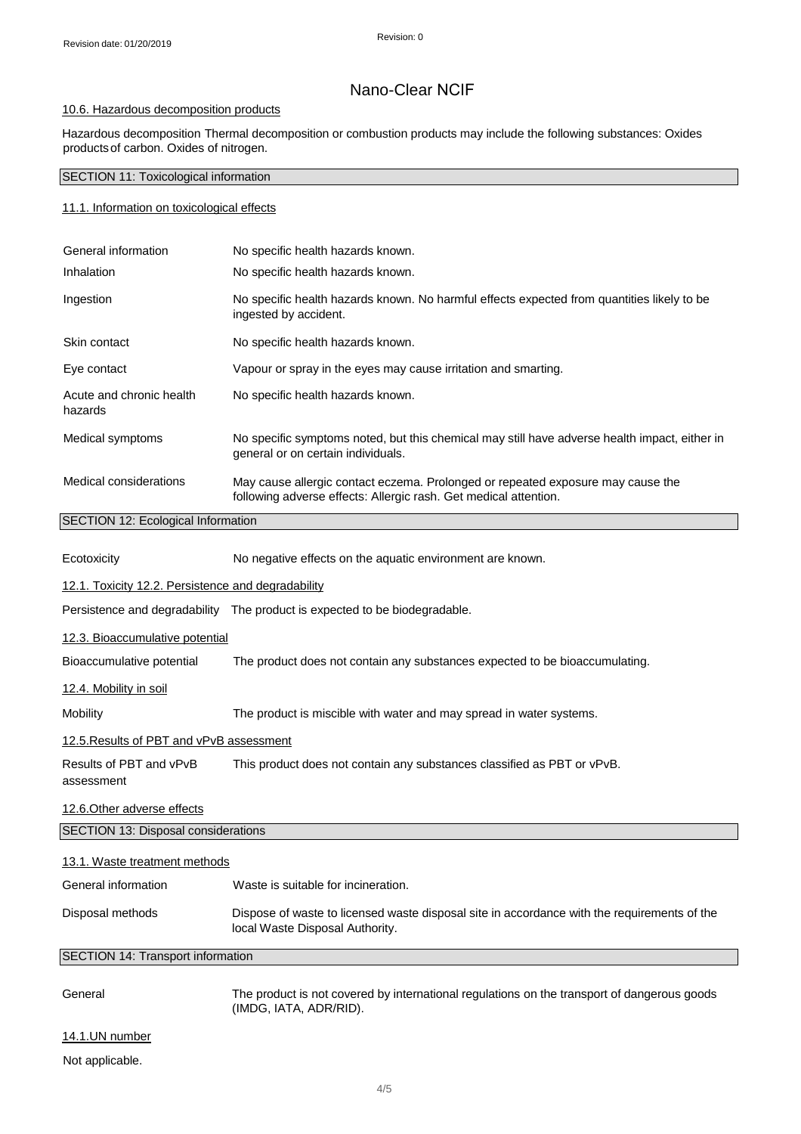### 10.6. Hazardous decomposition products

Hazardous decomposition Thermal decomposition or combustion products may include the following substances: Oxides productsof carbon. Oxides of nitrogen.

### SECTION 11: Toxicological information

#### 11.1. Information on toxicological effects

| General information                       | No specific health hazards known.                                                                                                                   |  |
|-------------------------------------------|-----------------------------------------------------------------------------------------------------------------------------------------------------|--|
| Inhalation                                | No specific health hazards known.                                                                                                                   |  |
| Ingestion                                 | No specific health hazards known. No harmful effects expected from quantities likely to be<br>ingested by accident.                                 |  |
| Skin contact                              | No specific health hazards known.                                                                                                                   |  |
| Eye contact                               | Vapour or spray in the eyes may cause irritation and smarting.                                                                                      |  |
| Acute and chronic health<br>hazards       | No specific health hazards known.                                                                                                                   |  |
| Medical symptoms                          | No specific symptoms noted, but this chemical may still have adverse health impact, either in<br>general or on certain individuals.                 |  |
| Medical considerations                    | May cause allergic contact eczema. Prolonged or repeated exposure may cause the<br>following adverse effects: Allergic rash. Get medical attention. |  |
| <b>SECTION 12: Ecological Information</b> |                                                                                                                                                     |  |

| Ecotoxicity                                        | No negative effects on the aquatic environment are known.                                                                      |  |
|----------------------------------------------------|--------------------------------------------------------------------------------------------------------------------------------|--|
| 12.1. Toxicity 12.2. Persistence and degradability |                                                                                                                                |  |
|                                                    | Persistence and degradability The product is expected to be biodegradable.                                                     |  |
| 12.3. Bioaccumulative potential                    |                                                                                                                                |  |
| Bioaccumulative potential                          | The product does not contain any substances expected to be bioaccumulating.                                                    |  |
| <u>12.4. Mobility in soil</u>                      |                                                                                                                                |  |
| Mobility                                           | The product is miscible with water and may spread in water systems.                                                            |  |
| 12.5. Results of PBT and vPvB assessment           |                                                                                                                                |  |
| Results of PBT and vPvB<br>assessment              | This product does not contain any substances classified as PBT or vPvB.                                                        |  |
| 12.6. Other adverse effects                        |                                                                                                                                |  |
| SECTION 13: Disposal considerations                |                                                                                                                                |  |
| 13.1. Waste treatment methods                      |                                                                                                                                |  |
| General information                                | Waste is suitable for incineration.                                                                                            |  |
| Disposal methods                                   | Dispose of waste to licensed waste disposal site in accordance with the requirements of the<br>local Waste Disposal Authority. |  |
| SECTION 14: Transport information                  |                                                                                                                                |  |
| General                                            | The product is not covered by international regulations on the transport of dangerous goods<br>(IMDG, IATA, ADR/RID).          |  |
| 14.1.UN number                                     |                                                                                                                                |  |